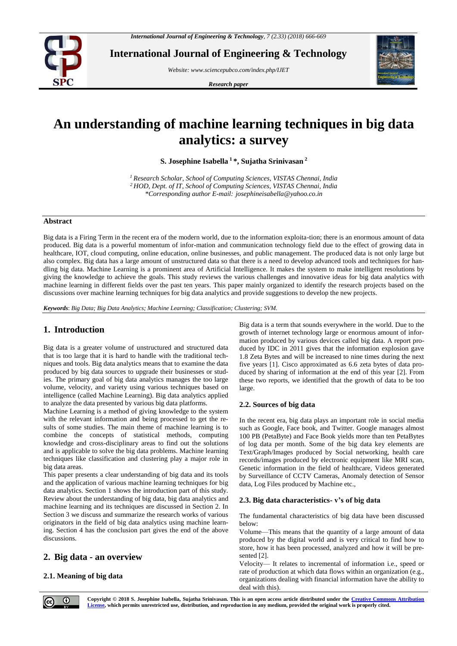

**International Journal of Engineering & Technology**

*Website: www.sciencepubco.com/index.php/IJET* 

*Research paper*



# **An understanding of machine learning techniques in big data analytics: a survey**

**S. Josephine Isabella <sup>1</sup>\*, Sujatha Srinivasan <sup>2</sup>**

*<sup>1</sup>Research Scholar, School of Computing Sciences, VISTAS Chennai, India <sup>2</sup>HOD, Dept. of IT, School of Computing Sciences, VISTAS Chennai, India \*Corresponding author E-mail: josephineisabella@yahoo.co.in*

#### **Abstract**

Big data is a Firing Term in the recent era of the modern world, due to the information exploita-tion; there is an enormous amount of data produced. Big data is a powerful momentum of infor-mation and communication technology field due to the effect of growing data in healthcare, IOT, cloud computing, online education, online businesses, and public management. The produced data is not only large but also complex. Big data has a large amount of unstructured data so that there is a need to develop advanced tools and techniques for handling big data. Machine Learning is a prominent area of Artificial Intelligence. It makes the system to make intelligent resolutions by giving the knowledge to achieve the goals. This study reviews the various challenges and innovative ideas for big data analytics with machine learning in different fields over the past ten years. This paper mainly organized to identify the research projects based on the discussions over machine learning techniques for big data analytics and provide suggestions to develop the new projects.

*Keywords*: *Big Data; Big Data Analytics; Machine Learning; Classification; Clustering; SVM.*

# **1. Introduction**

Big data is a greater volume of unstructured and structured data that is too large that it is hard to handle with the traditional techniques and tools. Big data analytics means that to examine the data produced by big data sources to upgrade their businesses or studies. The primary goal of big data analytics manages the too large volume, velocity, and variety using various techniques based on intelligence (called Machine Learning). Big data analytics applied to analyze the data presented by various big data platforms.

Machine Learning is a method of giving knowledge to the system with the relevant information and being processed to get the results of some studies. The main theme of machine learning is to combine the concepts of statistical methods, computing knowledge and cross-disciplinary areas to find out the solutions and is applicable to solve the big data problems. Machine learning techniques like classification and clustering play a major role in big data areas.

This paper presents a clear understanding of big data and its tools and the application of various machine learning techniques for big data analytics. Section 1 shows the introduction part of this study. Review about the understanding of big data, big data analytics and machine learning and its techniques are discussed in Section 2. In Section 3 we discuss and summarize the research works of various originators in the field of big data analytics using machine learning. Section 4 has the conclusion part gives the end of the above discussions.

# **2. Big data - an overview**

## **2.1. Meaning of big data**

Big data is a term that sounds everywhere in the world. Due to the growth of internet technology large or enormous amount of information produced by various devices called big data. A report produced by IDC in 2011 gives that the information explosion gave 1.8 Zeta Bytes and will be increased to nine times during the next five years [1]. Cisco approximated as 6.6 zeta bytes of data produced by sharing of information at the end of this year [2]. From these two reports, we identified that the growth of data to be too large.

## **2.2. Sources of big data**

In the recent era, big data plays an important role in social media such as Google, Face book, and Twitter. Google manages almost 100 PB (PetaByte) and Face Book yields more than ten PetaBytes of log data per month. Some of the big data key elements are Text/Graph/Images produced by Social networking, health care records/images produced by electronic equipment like MRI scan, Genetic information in the field of healthcare, Videos generated by Surveillance of CCTV Cameras, Anomaly detection of Sensor data, Log Files produced by Machine etc.,

## **2.3. Big data characteristics- v's of big data**

The fundamental characteristics of big data have been discussed below:

Volume—This means that the quantity of a large amount of data produced by the digital world and is very critical to find how to store, how it has been processed, analyzed and how it will be presented [2].

Velocity— It relates to incremental of information i.e., speed or rate of production at which data flows within an organization (e.g., organizations dealing with financial information have the ability to deal with this).



**Copyright © 2018 S. Josephine Isabella, Sujatha Srinivasan. This is an open access article distributed under the [Creative Commons Attribution](http://creativecommons.org/licenses/by/3.0/)  [License,](http://creativecommons.org/licenses/by/3.0/) which permits unrestricted use, distribution, and reproduction in any medium, provided the original work is properly cited.**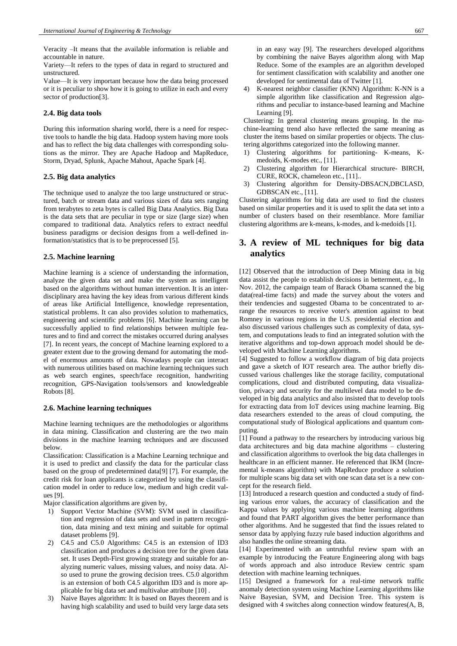Veracity –It means that the available information is reliable and accountable in nature.

Variety—It refers to the types of data in regard to structured and unstructured.

Value—It is very important because how the data being processed or it is peculiar to show how it is going to utilize in each and every sector of production[3].

#### **2.4. Big data tools**

During this information sharing world, there is a need for respective tools to handle the big data. Hadoop system having more tools and has to reflect the big data challenges with corresponding solutions as the mirror. They are Apache Hadoop and MapReduce, Storm, Dryad, Splunk, Apache Mahout, Apache Spark [4].

#### **2.5. Big data analytics**

The technique used to analyze the too large unstructured or structured, batch or stream data and various sizes of data sets ranging from terabytes to zeta bytes is called Big Data Analytics. Big Data is the data sets that are peculiar in type or size (large size) when compared to traditional data. Analytics refers to extract needful business paradigms or decision designs from a well-defined information/statistics that is to be preprocessed [5].

#### **2.5. Machine learning**

Machine learning is a science of understanding the information, analyze the given data set and make the system as intelligent based on the algorithms without human intervention. It is an interdisciplinary area having the key ideas from various different kinds of areas like Artificial Intelligence, knowledge representation, statistical problems. It can also provides solution to mathematics, engineering and scientific problems [6]. Machine learning can be successfully applied to find relationships between multiple features and to find and correct the mistakes occurred during analyses [7]. In recent years, the concept of Machine learning explored to a greater extent due to the growing demand for automating the model of enormous amounts of data. Nowadays people can interact with numerous utilities based on machine learning techniques such as web search engines, speech/face recognition, handwriting recognition, GPS-Navigation tools/sensors and knowledgeable Robots [8].

#### **2.6. Machine learning techniques**

Machine learning techniques are the methodologies or algorithms in data mining. Classification and clustering are the two main divisions in the machine learning techniques and are discussed below.

Classification: Classification is a Machine Learning technique and it is used to predict and classify the data for the particular class based on the group of predetermined data[9] [7]. For example, the credit risk for loan applicants is categorized by using the classification model in order to reduce low, medium and high credit values [9].

Major classification algorithms are given by,

- 1) Support Vector Machine (SVM): SVM used in classification and regression of data sets and used in pattern recognition, data mining and text mining and suitable for optimal dataset problems [9].
- 2) C4.5 and C5.0 Algorithms: C4.5 is an extension of ID3 classification and produces a decision tree for the given data set. It uses Depth-First growing strategy and suitable for analyzing numeric values, missing values, and noisy data. Also used to prune the growing decision trees. C5.0 algorithm is an extension of both C4.5 algorithm ID3 and is more applicable for big data set and multivalue attribute [10] .
- Naive Bayes algorithm: It is based on Bayes theorem and is having high scalability and used to build very large data sets

in an easy way [9]. The researchers developed algorithms by combining the naive Bayes algorithm along with Map Reduce. Some of the examples are an algorithm developed for sentiment classification with scalability and another one developed for sentimental data of Twitter [1].

4) K-nearest neighbor classifier (KNN) Algorithm: K-NN is a simple algorithm like classification and Regression algorithms and peculiar to instance-based learning and Machine Learning [9].

Clustering: In general clustering means grouping. In the machine-learning trend also have reflected the same meaning as cluster the items based on similar properties or objects. The clustering algorithms categorized into the following manner.

- 1) Clustering algorithms for partitioning- K-means, Kmedoids, K-modes etc., [11].
- 2) Clustering algorithm for Hierarchical structure- BIRCH, CURE, ROCK, chameleon etc., [11]..
- 3) Clustering algorithm for Density-DBSACN,DBCLASD, GDBSCAN etc., [11].

Clustering algorithms for big data are used to find the clusters based on similar properties and it is used to split the data set into a number of clusters based on their resemblance. More familiar clustering algorithms are k-means, k-modes, and k-medoids [1].

# **3. A review of ML techniques for big data analytics**

[12] Observed that the introduction of Deep Mining data in big data assist the people to establish decisions in betterment, e.g., In Nov. 2012, the campaign team of Barack Obama scanned the big data(real-time facts) and made the survey about the voters and their tendencies and suggested Obama to be concentrated to arrange the resources to receive voter's attention against to beat Romney in various regions in the U.S. presidential election and also discussed various challenges such as complexity of data, system, and computations leads to find an integrated solution with the iterative algorithms and top-down approach model should be developed with Machine Learning algorithms.

[4] Suggested to follow a workflow diagram of big data projects and gave a sketch of IOT research area. The author briefly discussed various challenges like the storage facility, computational complications, cloud and distributed computing, data visualization, privacy and security for the multilevel data model to be developed in big data analytics and also insisted that to develop tools for extracting data from IoT devices using machine learning. Big data researchers extended to the areas of cloud computing, the computational study of Biological applications and quantum computing.

[1] Found a pathway to the researchers by introducing various big data architectures and big data machine algorithms – clustering and classification algorithms to overlook the big data challenges in healthcare in an efficient manner. He referenced that IKM (Incremental k-means algorithm) with MapReduce produce a solution for multiple scans big data set with one scan data set is a new concept for the research field.

[13] Introduced a research question and conducted a study of finding various error values, the accuracy of classification and the Kappa values by applying various machine learning algorithms and found that PART algorithm gives the better performance than other algorithms. And he suggested that find the issues related to sensor data by applying fuzzy rule based induction algorithms and also handles the online streaming data.

[14] Experimented with an untruthful review spam with an example by introducing the Feature Engineering along with bags of words approach and also introduce Review centric spam detection with machine learning techniques.

[15] Designed a framework for a real-time network traffic anomaly detection system using Machine Learning algorithms like Naive Bayesian, SVM, and Decision Tree. This system is designed with 4 switches along connection window features(A, B,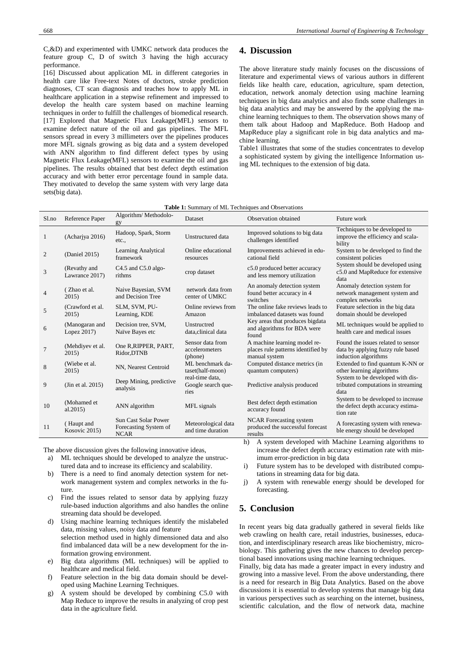C,&D) and experimented with UMKC network data produces the feature group C, D of switch 3 having the high accuracy performance.

[16] Discussed about application ML in different categories in health care like Free-text Notes of doctors, stroke prediction diagnoses, CT scan diagnosis and teaches how to apply ML in healthcare application in a stepwise refinement and impressed to develop the health care system based on machine learning techniques in order to fulfill the challenges of biomedical research. [17] Explored that Magnetic Flux Leakage(MFL) sensors to examine defect nature of the oil and gas pipelines. The MFL sensors spread in every 3 millimeters over the pipelines produces more MFL signals growing as big data and a system developed with ANN algorithm to find different defect types by using Magnetic Flux Leakage(MFL) sensors to examine the oil and gas pipelines. The results obtained that best defect depth estimation accuracy and with better error percentage found in sample data. They motivated to develop the same system with very large data sets(big data).

## **4. Discussion**

The above literature study mainly focuses on the discussions of literature and experimental views of various authors in different fields like health care, education, agriculture, spam detection, education, network anomaly detection using machine learning techniques in big data analytics and also finds some challenges in big data analytics and may be answered by the applying the machine learning techniques to them. The observation shows many of them talk about Hadoop and MapReduce. Both Hadoop and MapReduce play a significant role in big data analytics and machine learning.

Table1 illustrates that some of the studies concentrates to develop a sophisticated system by giving the intelligence Information using ML techniques to the extension of big data.

|  | <b>Table 1:</b> Summary of ML Techniques and Observations |
|--|-----------------------------------------------------------|
|--|-----------------------------------------------------------|

| Sl.no                                                                                                                                                         | Reference Paper                | Algorithm/Methodolo-<br>gy                                          | Dataset                                       | Observation obtained                                                                | Future work                                                                                     |
|---------------------------------------------------------------------------------------------------------------------------------------------------------------|--------------------------------|---------------------------------------------------------------------|-----------------------------------------------|-------------------------------------------------------------------------------------|-------------------------------------------------------------------------------------------------|
| -1                                                                                                                                                            | (Achariya 2016)                | Hadoop, Spark, Storm<br>etc.,                                       | Unstructured data                             | Improved solutions to big data<br>challenges identified                             | Techniques to be developed to<br>improve the efficiency and scala-<br>bility                    |
| 2                                                                                                                                                             | (Daniel 2015)                  | Learning Analytical<br>framework                                    | Online educational<br>resources               | Improvements achieved in edu-<br>cational field                                     | System to be developed to find the<br>consistent policies                                       |
| 3                                                                                                                                                             | (Revathy and<br>Lawrance 2017) | $C4.5$ and $C5.0$ algo-<br>rithms                                   | crop dataset                                  | c5.0 produced better accuracy<br>and less memory utilization                        | System should be developed using<br>c5.0 and MapReduce for extensive<br>data                    |
| $\overline{4}$                                                                                                                                                | (Zhao et al.<br>2015)          | Naive Bayesian, SVM<br>and Decision Tree                            | network data from<br>center of UMKC           | An anomaly detection system<br>found better accuracy in 4<br>switches               | Anomaly detection system for<br>network management system and<br>complex networks               |
| 5                                                                                                                                                             | (Crawford et al.)<br>2015)     | SLM, SVM, PU-<br>Learning, KDE                                      | Online reviews from<br>Amazon                 | The online fake reviews leads to<br>imbalanced datasets was found                   | Feature selection in the big data<br>domain should be developed                                 |
| 6                                                                                                                                                             | (Manogaran and<br>Lopez 2017)  | Decision tree, SVM,<br>Naïve Bayes etc                              | Unstructred<br>data, clinical data            | Key areas that produces bigdata<br>and algorithms for BDA were<br>found             | ML techniques would be applied to<br>health care and medical issues                             |
| $\overline{7}$                                                                                                                                                | (Mehdiyev et al.<br>2015       | One R, RIPPER, PART,<br>Ridor, DTNB                                 | Sensor data from<br>accelerometers<br>(phone) | A machine learning model re-<br>places rule patterns identified by<br>manual system | Found the issues related to sensor<br>data by applying fuzzy rule based<br>induction algorithms |
| 8                                                                                                                                                             | (Wiebe et al.)<br>2015         | NN, Nearest Centroid                                                | ML benchmark da-<br>taset(half-moon)          | Computed distance metrics (in<br>quantum computers)                                 | Extended to find quantum K-NN or<br>other learning algorithms                                   |
| 9                                                                                                                                                             | (Jin et al. 2015)              | Deep Mining, predictive<br>analysis                                 | real-time data,<br>Google search que-<br>ries | Predictive analysis produced                                                        | System to be developed with dis-<br>tributed computations in streaming<br>data                  |
| 10                                                                                                                                                            | (Mohamed et<br>al.2015)        | ANN algorithm                                                       | MFL signals                                   | Best defect depth estimation<br>accuracy found                                      | System to be developed to increase<br>the defect depth accuracy estima-<br>tion rate            |
| 11                                                                                                                                                            | (Haupt and<br>Kosovic 2015)    | <b>Sun Cast Solar Power</b><br>Forecasting System of<br><b>NCAR</b> | Meteorological data<br>and time duration      | <b>NCAR</b> Forecasting system<br>produced the successful forecast<br>results       | A forecasting system with renewa-<br>ble energy should be developed                             |
| $\mathcal{A}$ and $\mathcal{A}$ and $\mathcal{A}$ and $\mathcal{A}$ and $\mathcal{A}$ and $\mathcal{A}$ and $\mathcal{A}$ and $\mathcal{A}$<br>1 <sup>1</sup> |                                |                                                                     |                                               |                                                                                     |                                                                                                 |

The above discussion gives the following innovative ideas,

- a) ML techniques should be developed to analyze the unstructured data and to increase its efficiency and scalability.
- b) There is a need to find anomaly detection system for network management system and complex networks in the future.
- c) Find the issues related to sensor data by applying fuzzy rule-based induction algorithms and also handles the online streaming data should be developed.
- d) Using machine learning techniques identify the mislabeled data, missing values, noisy data and feature selection method used in highly dimensioned data and also find imbalanced data will be a new development for the information growing environment.
- e) Big data algorithms (ML techniques) will be applied to healthcare and medical field.
- f) Feature selection in the big data domain should be developed using Machine Learning Techniques.
- g) A system should be developed by combining C5.0 with Map Reduce to improve the results in analyzing of crop pest data in the agriculture field.

h) A system developed with Machine Learning algorithms to increase the defect depth accuracy estimation rate with minimum error-prediction in big data

i) Future system has to be developed with distributed computations in streaming data for big data.

j) A system with renewable energy should be developed for forecasting.

## **5. Conclusion**

In recent years big data gradually gathered in several fields like web crawling on health care, retail industries, businesses, education, and interdisciplinary research areas like biochemistry, microbiology. This gathering gives the new chances to develop perceptional based innovations using machine learning techniques.

Finally, big data has made a greater impact in every industry and growing into a massive level. From the above understanding, there is a need for research in Big Data Analytics. Based on the above discussions it is essential to develop systems that manage big data in various perspectives such as searching on the internet, business, scientific calculation, and the flow of network data, machine